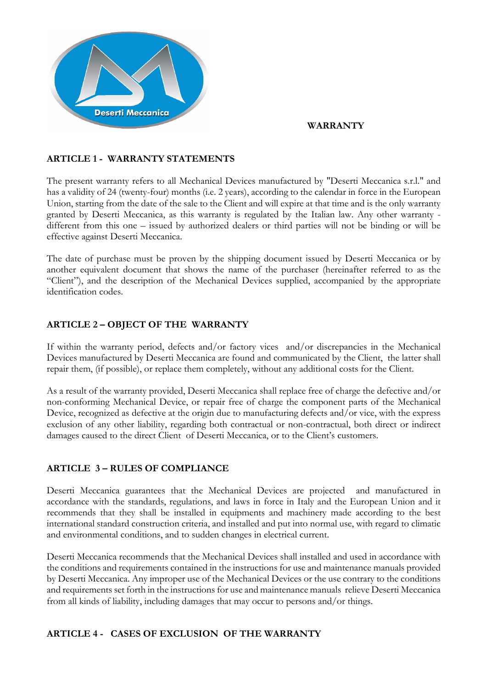## **WARRANTY**



**Deserti Meccanica** 

The present warranty refers to all Mechanical Devices manufactured by "Deserti Meccanica s.r.l." and has a validity of 24 (twenty-four) months (i.e. 2 years), according to the calendar in force in the European Union, starting from the date of the sale to the Client and will expire at that time and is the only warranty granted by Deserti Meccanica, as this warranty is regulated by the Italian law. Any other warranty different from this one – issued by authorized dealers or third parties will not be binding or will be effective against Deserti Meccanica.

The date of purchase must be proven by the shipping document issued by Deserti Meccanica or by another equivalent document that shows the name of the purchaser (hereinafter referred to as the "Client"), and the description of the Mechanical Devices supplied, accompanied by the appropriate identification codes.

# **ARTICLE 2 – OBJECT OF THE WARRANTY**

If within the warranty period, defects and/or factory vices and/or discrepancies in the Mechanical Devices manufactured by Deserti Meccanica are found and communicated by the Client, the latter shall repair them, (if possible), or replace them completely, without any additional costs for the Client.

As a result of the warranty provided, Deserti Meccanica shall replace free of charge the defective and/or non-conforming Mechanical Device, or repair free of charge the component parts of the Mechanical Device, recognized as defective at the origin due to manufacturing defects and/or vice, with the express exclusion of any other liability, regarding both contractual or non-contractual, both direct or indirect damages caused to the direct Client of Deserti Meccanica, or to the Client's customers.

# **ARTICLE 3 – RULES OF COMPLIANCE**

Deserti Meccanica guarantees that the Mechanical Devices are projected and manufactured in accordance with the standards, regulations, and laws in force in Italy and the European Union and it recommends that they shall be installed in equipments and machinery made according to the best international standard construction criteria, and installed and put into normal use, with regard to climatic and environmental conditions, and to sudden changes in electrical current.

Deserti Meccanica recommends that the Mechanical Devices shall installed and used in accordance with the conditions and requirements contained in the instructions for use and maintenance manuals provided by Deserti Meccanica. Any improper use of the Mechanical Devices or the use contrary to the conditions and requirements set forth in the instructions for use and maintenance manuals relieve Deserti Meccanica from all kinds of liability, including damages that may occur to persons and/or things.

# **ARTICLE 4 - CASES OF EXCLUSION OF THE WARRANTY**